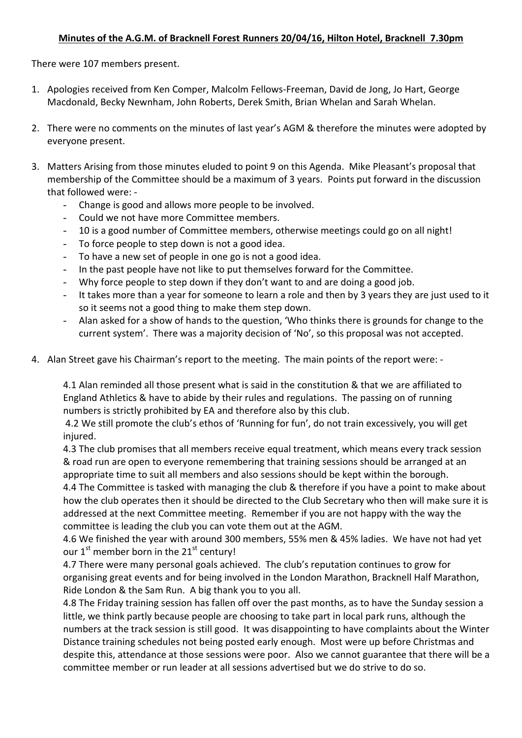## **Minutes of the A.G.M. of Bracknell Forest Runners 20/04/16, Hilton Hotel, Bracknell 7.30pm**

There were 107 members present.

- 1. Apologies received from Ken Comper, Malcolm Fellows-Freeman, David de Jong, Jo Hart, George Macdonald, Becky Newnham, John Roberts, Derek Smith, Brian Whelan and Sarah Whelan.
- 2. There were no comments on the minutes of last year's AGM & therefore the minutes were adopted by everyone present.
- 3. Matters Arising from those minutes eluded to point 9 on this Agenda. Mike Pleasant's proposal that membership of the Committee should be a maximum of 3 years. Points put forward in the discussion that followed were: -
	- Change is good and allows more people to be involved.
	- Could we not have more Committee members.
	- 10 is a good number of Committee members, otherwise meetings could go on all night!
	- To force people to step down is not a good idea.
	- To have a new set of people in one go is not a good idea.
	- In the past people have not like to put themselves forward for the Committee.
	- Why force people to step down if they don't want to and are doing a good job.
	- It takes more than a year for someone to learn a role and then by 3 years they are just used to it so it seems not a good thing to make them step down.
	- Alan asked for a show of hands to the question, 'Who thinks there is grounds for change to the current system'. There was a majority decision of 'No', so this proposal was not accepted.
- 4. Alan Street gave his Chairman's report to the meeting. The main points of the report were: -

4.1 Alan reminded all those present what is said in the constitution & that we are affiliated to England Athletics & have to abide by their rules and regulations. The passing on of running numbers is strictly prohibited by EA and therefore also by this club.

4.2 We still promote the club's ethos of 'Running for fun', do not train excessively, you will get injured.

4.3 The club promises that all members receive equal treatment, which means every track session & road run are open to everyone remembering that training sessions should be arranged at an appropriate time to suit all members and also sessions should be kept within the borough. 4.4 The Committee is tasked with managing the club & therefore if you have a point to make about how the club operates then it should be directed to the Club Secretary who then will make sure it is addressed at the next Committee meeting. Remember if you are not happy with the way the committee is leading the club you can vote them out at the AGM.

4.6 We finished the year with around 300 members, 55% men & 45% ladies. We have not had yet our  $1^{st}$  member born in the  $21^{st}$  century!

4.7 There were many personal goals achieved. The club's reputation continues to grow for organising great events and for being involved in the London Marathon, Bracknell Half Marathon, Ride London & the Sam Run. A big thank you to you all.

4.8 The Friday training session has fallen off over the past months, as to have the Sunday session a little, we think partly because people are choosing to take part in local park runs, although the numbers at the track session is still good. It was disappointing to have complaints about the Winter Distance training schedules not being posted early enough. Most were up before Christmas and despite this, attendance at those sessions were poor. Also we cannot guarantee that there will be a committee member or run leader at all sessions advertised but we do strive to do so.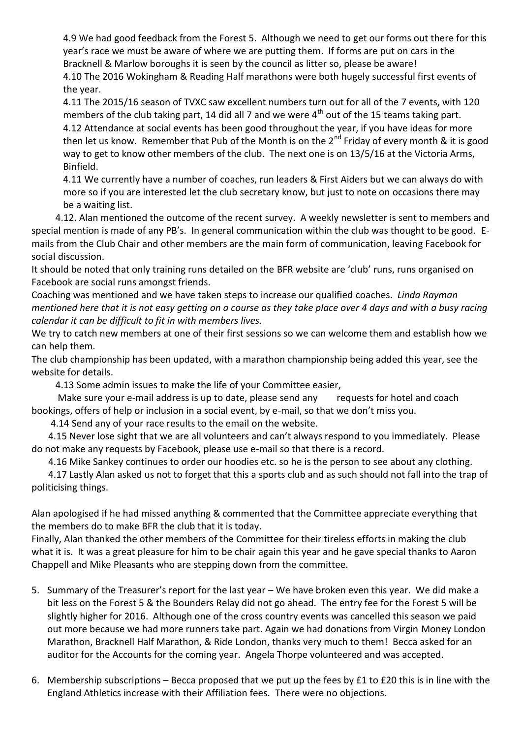4.9 We had good feedback from the Forest 5. Although we need to get our forms out there for this year's race we must be aware of where we are putting them. If forms are put on cars in the Bracknell & Marlow boroughs it is seen by the council as litter so, please be aware! 4.10 The 2016 Wokingham & Reading Half marathons were both hugely successful first events of the year.

4.11 The 2015/16 season of TVXC saw excellent numbers turn out for all of the 7 events, with 120 members of the club taking part, 14 did all 7 and we were  $4<sup>th</sup>$  out of the 15 teams taking part.

4.12 Attendance at social events has been good throughout the year, if you have ideas for more then let us know. Remember that Pub of the Month is on the  $2^{nd}$  Friday of every month & it is good way to get to know other members of the club. The next one is on 13/5/16 at the Victoria Arms, Binfield.

4.11 We currently have a number of coaches, run leaders & First Aiders but we can always do with more so if you are interested let the club secretary know, but just to note on occasions there may be a waiting list.

 4.12. Alan mentioned the outcome of the recent survey. A weekly newsletter is sent to members and special mention is made of any PB's. In general communication within the club was thought to be good. Emails from the Club Chair and other members are the main form of communication, leaving Facebook for social discussion.

It should be noted that only training runs detailed on the BFR website are 'club' runs, runs organised on Facebook are social runs amongst friends.

Coaching was mentioned and we have taken steps to increase our qualified coaches. *Linda Rayman mentioned here that it is not easy getting on a course as they take place over 4 days and with a busy racing calendar it can be difficult to fit in with members lives.*

We try to catch new members at one of their first sessions so we can welcome them and establish how we can help them.

The club championship has been updated, with a marathon championship being added this year, see the website for details.

4.13 Some admin issues to make the life of your Committee easier,

Make sure your e-mail address is up to date, please send any requests for hotel and coach bookings, offers of help or inclusion in a social event, by e-mail, so that we don't miss you.

4.14 Send any of your race results to the email on the website.

 4.15 Never lose sight that we are all volunteers and can't always respond to you immediately. Please do not make any requests by Facebook, please use e-mail so that there is a record.

4.16 Mike Sankey continues to order our hoodies etc. so he is the person to see about any clothing.

 4.17 Lastly Alan asked us not to forget that this a sports club and as such should not fall into the trap of politicising things.

Alan apologised if he had missed anything & commented that the Committee appreciate everything that the members do to make BFR the club that it is today.

Finally, Alan thanked the other members of the Committee for their tireless efforts in making the club what it is. It was a great pleasure for him to be chair again this year and he gave special thanks to Aaron Chappell and Mike Pleasants who are stepping down from the committee.

- 5. Summary of the Treasurer's report for the last year We have broken even this year. We did make a bit less on the Forest 5 & the Bounders Relay did not go ahead. The entry fee for the Forest 5 will be slightly higher for 2016. Although one of the cross country events was cancelled this season we paid out more because we had more runners take part. Again we had donations from Virgin Money London Marathon, Bracknell Half Marathon, & Ride London, thanks very much to them! Becca asked for an auditor for the Accounts for the coming year. Angela Thorpe volunteered and was accepted.
- 6. Membership subscriptions Becca proposed that we put up the fees by £1 to £20 this is in line with the England Athletics increase with their Affiliation fees. There were no objections.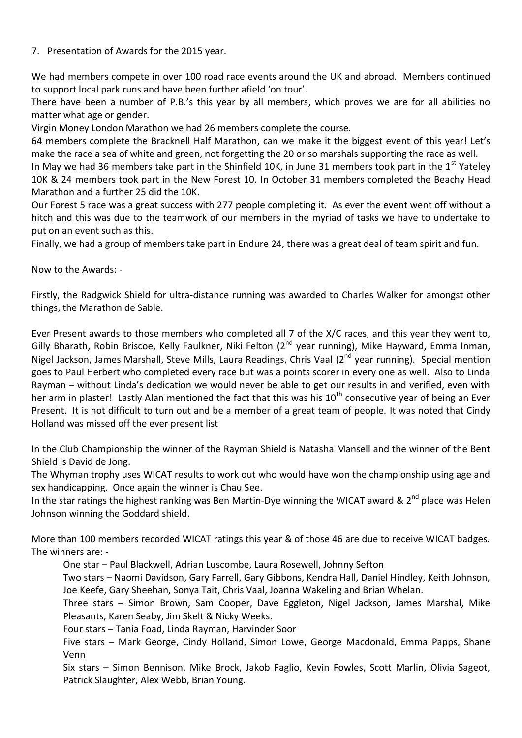## 7. Presentation of Awards for the 2015 year.

We had members compete in over 100 road race events around the UK and abroad. Members continued to support local park runs and have been further afield 'on tour'.

There have been a number of P.B.'s this year by all members, which proves we are for all abilities no matter what age or gender.

Virgin Money London Marathon we had 26 members complete the course.

64 members complete the Bracknell Half Marathon, can we make it the biggest event of this year! Let's make the race a sea of white and green, not forgetting the 20 or so marshals supporting the race as well.

In May we had 36 members take part in the Shinfield 10K, in June 31 members took part in the  $1<sup>st</sup>$  Yateley 10K & 24 members took part in the New Forest 10. In October 31 members completed the Beachy Head Marathon and a further 25 did the 10K.

Our Forest 5 race was a great success with 277 people completing it. As ever the event went off without a hitch and this was due to the teamwork of our members in the myriad of tasks we have to undertake to put on an event such as this.

Finally, we had a group of members take part in Endure 24, there was a great deal of team spirit and fun.

Now to the Awards: -

Firstly, the Radgwick Shield for ultra-distance running was awarded to Charles Walker for amongst other things, the Marathon de Sable.

Ever Present awards to those members who completed all 7 of the X/C races, and this year they went to, Gilly Bharath, Robin Briscoe, Kelly Faulkner, Niki Felton (2<sup>nd</sup> year running), Mike Hayward, Emma Inman, Nigel Jackson, James Marshall, Steve Mills, Laura Readings, Chris Vaal (2<sup>nd</sup> year running). Special mention goes to Paul Herbert who completed every race but was a points scorer in every one as well. Also to Linda Rayman – without Linda's dedication we would never be able to get our results in and verified, even with her arm in plaster! Lastly Alan mentioned the fact that this was his  $10^{th}$  consecutive year of being an Ever Present. It is not difficult to turn out and be a member of a great team of people. It was noted that Cindy Holland was missed off the ever present list

In the Club Championship the winner of the Rayman Shield is Natasha Mansell and the winner of the Bent Shield is David de Jong.

The Whyman trophy uses WICAT results to work out who would have won the championship using age and sex handicapping. Once again the winner is Chau See.

In the star ratings the highest ranking was Ben Martin-Dye winning the WICAT award & 2<sup>nd</sup> place was Helen Johnson winning the Goddard shield.

More than 100 members recorded WICAT ratings this year & of those 46 are due to receive WICAT badges. The winners are: -

One star – Paul Blackwell, Adrian Luscombe, Laura Rosewell, Johnny Sefton

Two stars – Naomi Davidson, Gary Farrell, Gary Gibbons, Kendra Hall, Daniel Hindley, Keith Johnson, Joe Keefe, Gary Sheehan, Sonya Tait, Chris Vaal, Joanna Wakeling and Brian Whelan.

Three stars – Simon Brown, Sam Cooper, Dave Eggleton, Nigel Jackson, James Marshal, Mike Pleasants, Karen Seaby, Jim Skelt & Nicky Weeks.

Four stars – Tania Foad, Linda Rayman, Harvinder Soor

Five stars – Mark George, Cindy Holland, Simon Lowe, George Macdonald, Emma Papps, Shane Venn

Six stars – Simon Bennison, Mike Brock, Jakob Faglio, Kevin Fowles, Scott Marlin, Olivia Sageot, Patrick Slaughter, Alex Webb, Brian Young.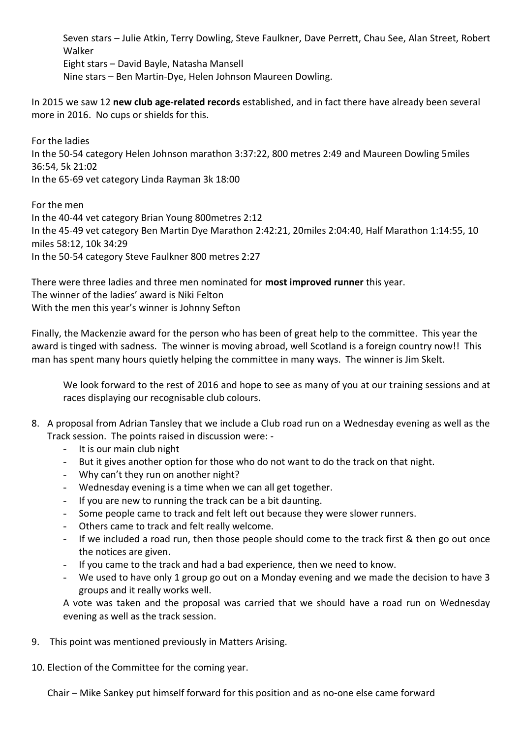Seven stars – Julie Atkin, Terry Dowling, Steve Faulkner, Dave Perrett, Chau See, Alan Street, Robert Walker Eight stars – David Bayle, Natasha Mansell Nine stars – Ben Martin-Dye, Helen Johnson Maureen Dowling.

In 2015 we saw 12 **new club age-related records** established, and in fact there have already been several more in 2016. No cups or shields for this.

For the ladies In the 50-54 category Helen Johnson marathon 3:37:22, 800 metres 2:49 and Maureen Dowling 5miles 36:54, 5k 21:02 In the 65-69 vet category Linda Rayman 3k 18:00

For the men In the 40-44 vet category Brian Young 800metres 2:12 In the 45-49 vet category Ben Martin Dye Marathon 2:42:21, 20miles 2:04:40, Half Marathon 1:14:55, 10 miles 58:12, 10k 34:29 In the 50-54 category Steve Faulkner 800 metres 2:27

There were three ladies and three men nominated for **most improved runner** this year. The winner of the ladies' award is Niki Felton With the men this year's winner is Johnny Sefton

Finally, the Mackenzie award for the person who has been of great help to the committee. This year the award is tinged with sadness. The winner is moving abroad, well Scotland is a foreign country now!! This man has spent many hours quietly helping the committee in many ways. The winner is Jim Skelt.

We look forward to the rest of 2016 and hope to see as many of you at our training sessions and at races displaying our recognisable club colours.

- 8. A proposal from Adrian Tansley that we include a Club road run on a Wednesday evening as well as the Track session. The points raised in discussion were: -
	- It is our main club night
	- But it gives another option for those who do not want to do the track on that night.
	- Why can't they run on another night?
	- Wednesday evening is a time when we can all get together.
	- If you are new to running the track can be a bit daunting.
	- Some people came to track and felt left out because they were slower runners.
	- Others came to track and felt really welcome.
	- If we included a road run, then those people should come to the track first & then go out once the notices are given.
	- If you came to the track and had a bad experience, then we need to know.
	- We used to have only 1 group go out on a Monday evening and we made the decision to have 3 groups and it really works well.

A vote was taken and the proposal was carried that we should have a road run on Wednesday evening as well as the track session.

9. This point was mentioned previously in Matters Arising.

10. Election of the Committee for the coming year.

Chair – Mike Sankey put himself forward for this position and as no-one else came forward